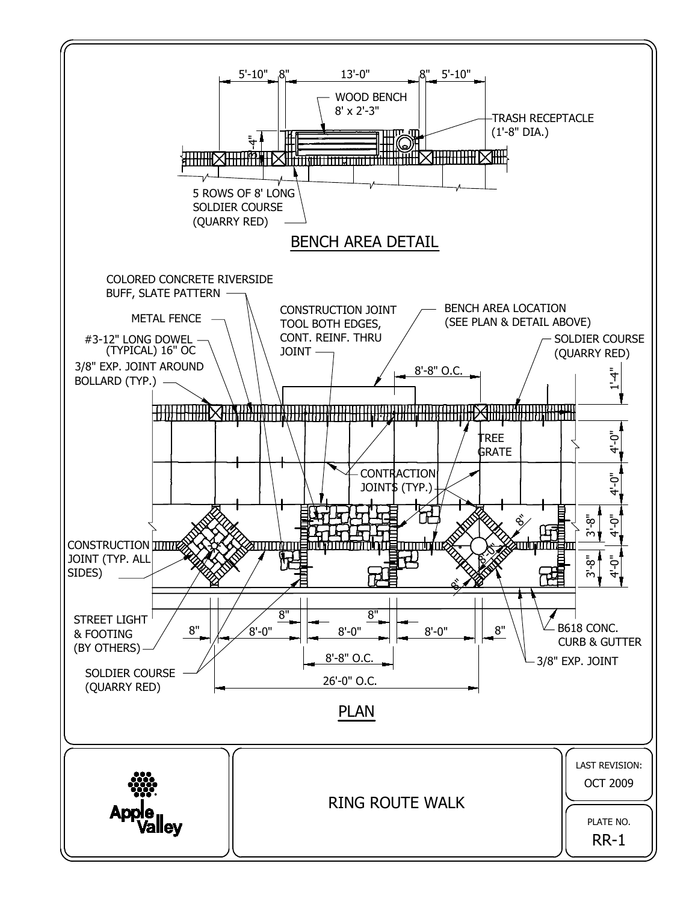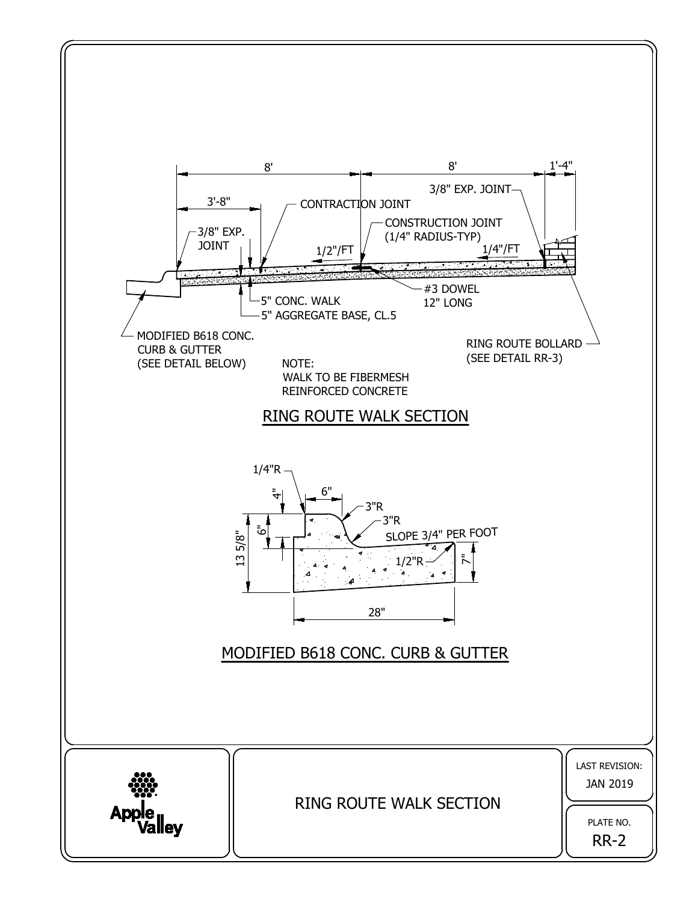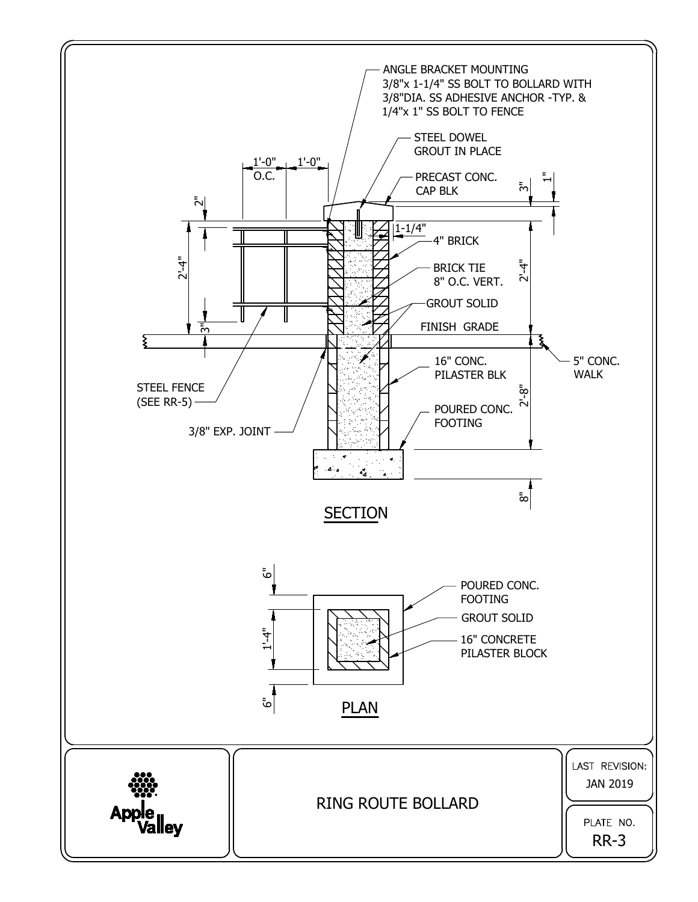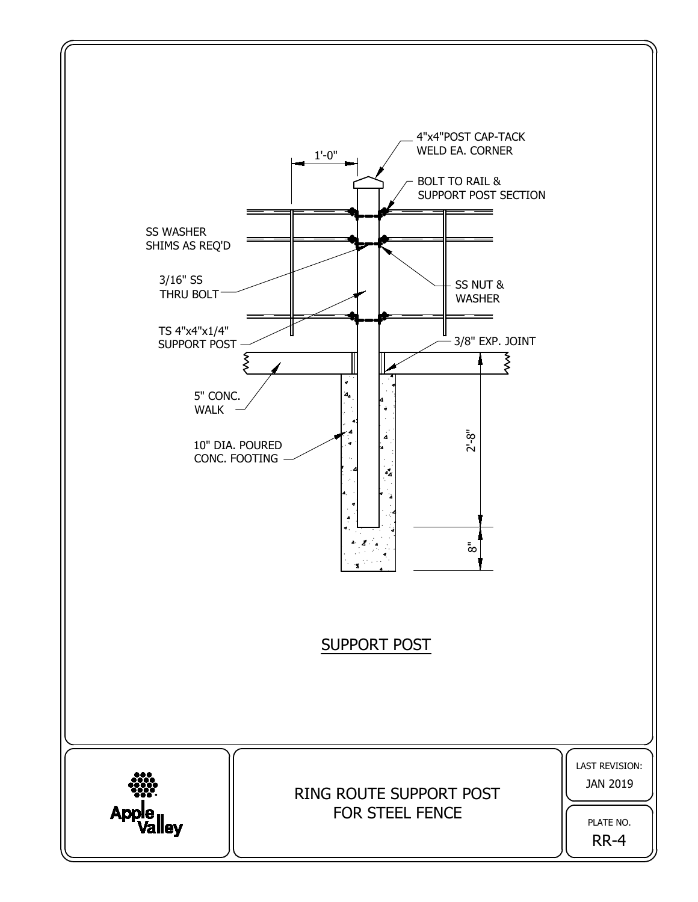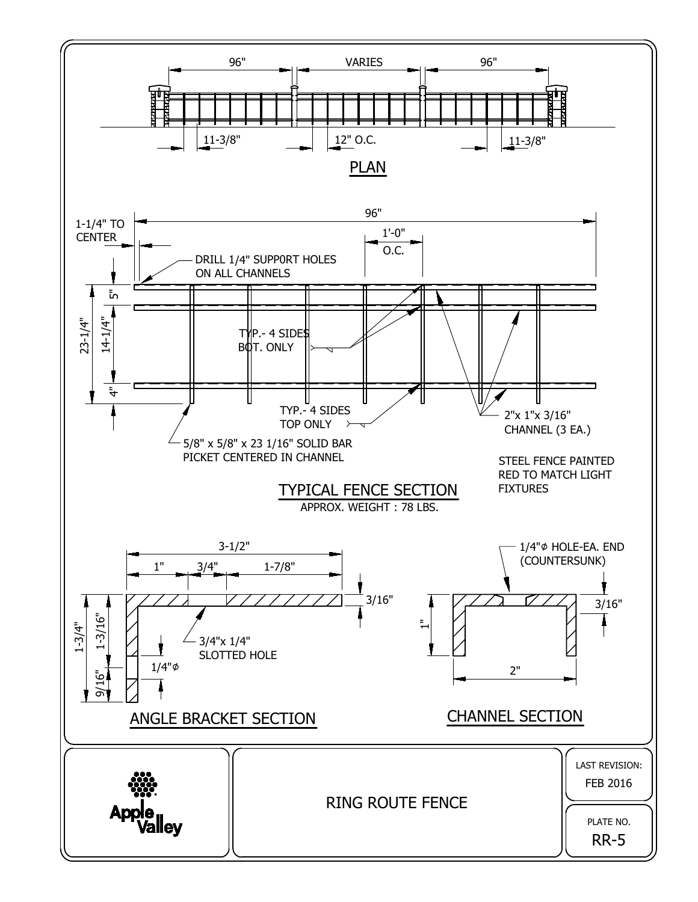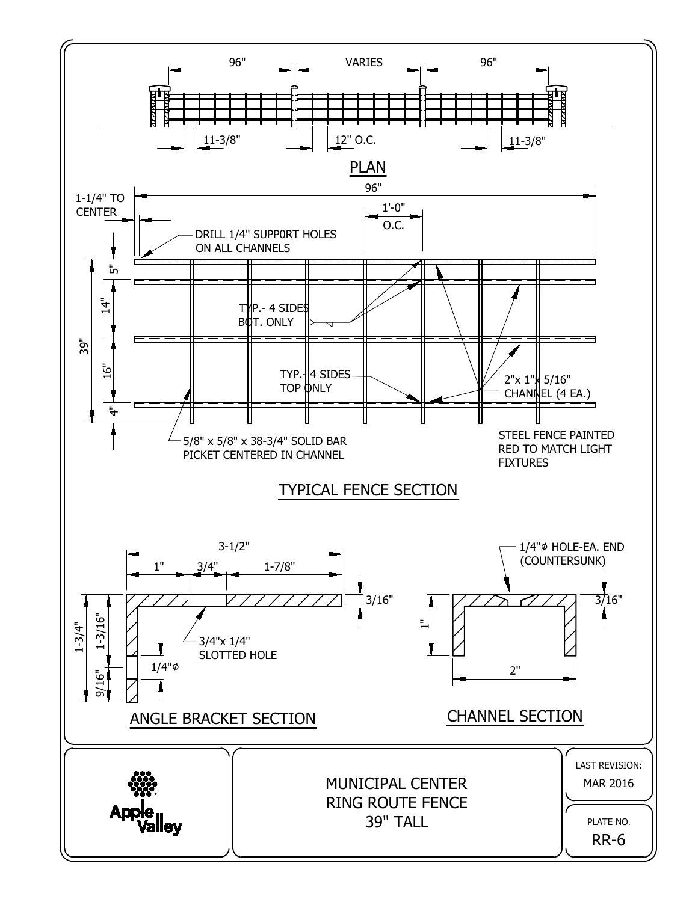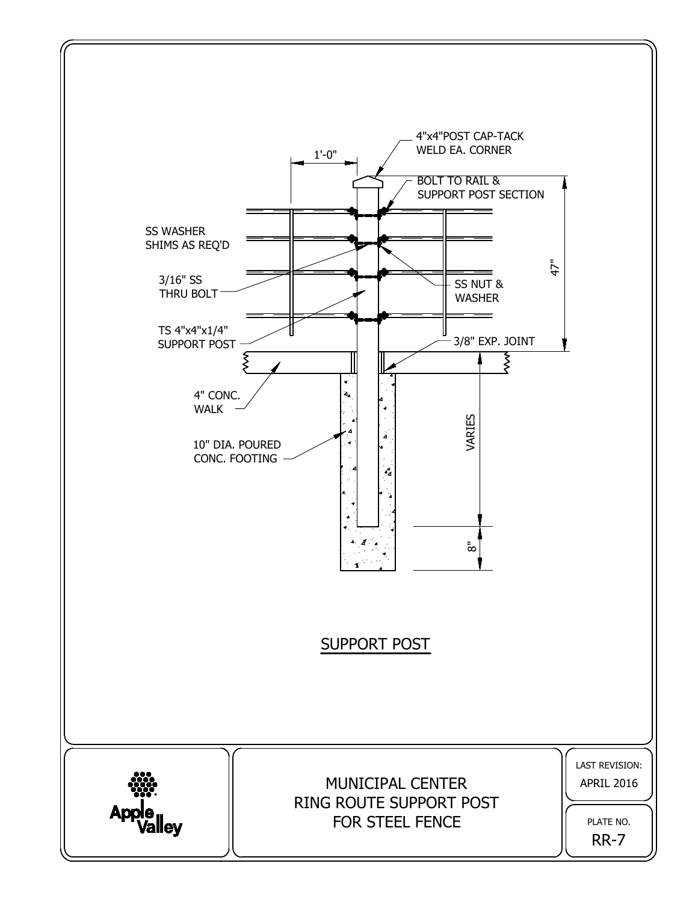